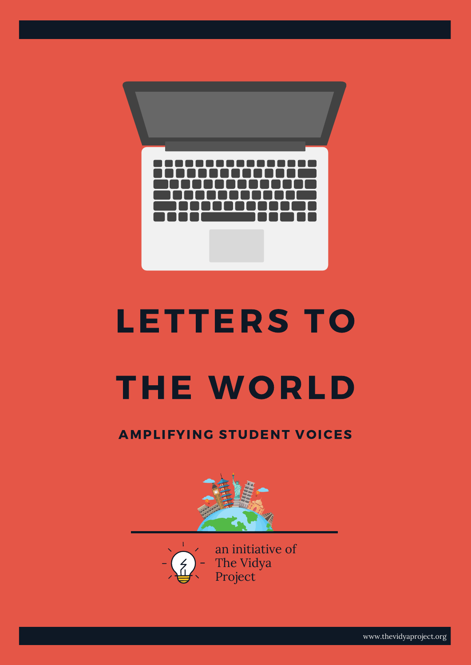# LETTERS TO



# THE WORLD



# AMPLIFYING STUDENT VOICES



www.thevidyaproject.org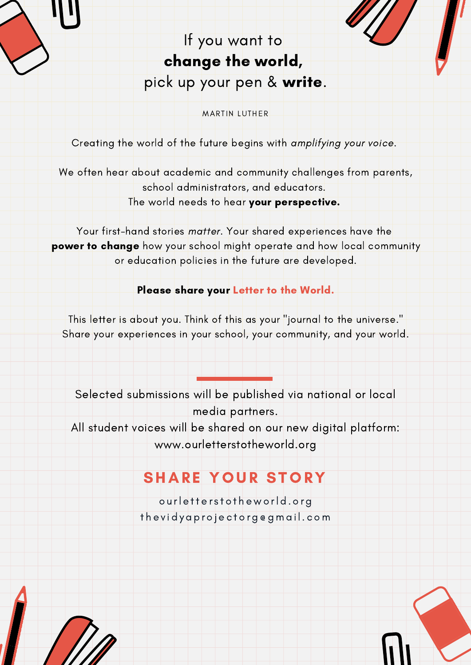Selected submissions will be published via national or local

media partners.

All student voices will be shared on our new digital platform:

www.ourletterstotheworld.org

# SHARE YOUR STORY

Creating the world of the future begins with amplifying your voice.

We often hear about academic and community challenges from parents,

school administrators, and educators.

The world needs to hear your perspective.

This letter is about you. Think of this as your "journal to the universe." Share your experiences in your school, your community, and your world.

Your first-hand stories matter. Your shared experiences have the power to change how your school might operate and how local community or education policies in the future are developed.

Please share your Letter to the World.

# If you want to

# change the world,

pick up your pen & write.

MARTIN LUTHER

o u rl e tt e r s t o t h e w o rl d . o r g

t h e v i d y a p r o j e c t o r g @ gma i l . c om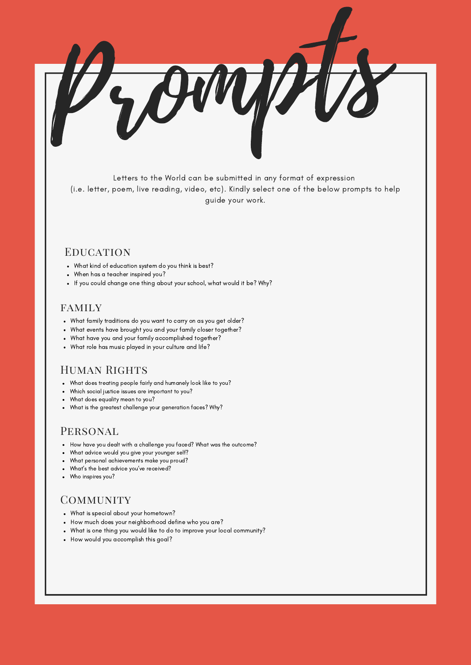

Letters to the World can be submitted in any format of expression (i.e. letter, poem, live reading, video, etc). Kindly select one of the below prompts to help guide your work.

### **EDUCATION**

- What kind of education system do you think is best?
- When has a teacher inspired you?
- If you could change one thing about your school, what would it be? Why?

### family

- What family traditions do you want to carry on as you get older?
- What events have brought you and your family closer together?
- What have you and your family accomplished together?
- What role has music played in your culture and life?

## HUMAN RIGHTS

- What does treating people fairly and humanely look like to you?
- Which social justice issues are important to you?
- What does equality mean to you?  $\bullet$
- What is the greatest challenge your generation faces? Why?

## PERSONAL

- How have you dealt with a challenge you faced? What was the outcome?
- What advice would you give your younger self?  $\bullet$
- What personal achievements make you proud?  $\bullet$
- What's the best advice you've received?  $\bullet$
- Who inspires you?

## **COMMUNITY**

- What is special about your hometown?
- How much does your neighborhood define who you are?
- What is one thing you would like to do to improve your local community?
- How would you accomplish this goal?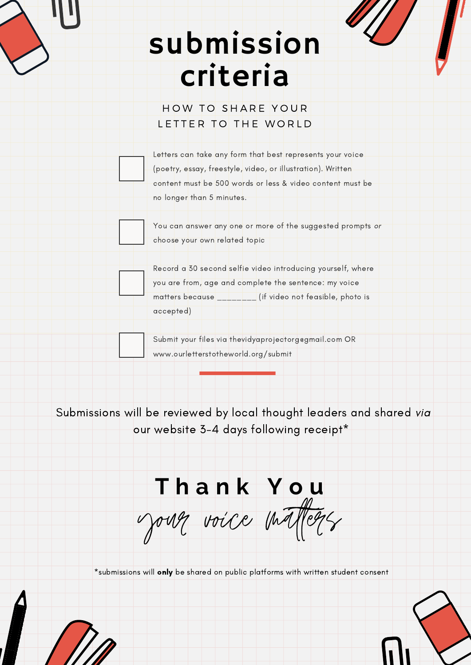Submissions will be reviewed by local thought leaders and shared via

our website 3-4 days following receipt\*

# submission criteria

## HOW TO SHARE YOUR LETTER TO THE WORLD

Letters can take any form that best represents your voice (poetry, essay, freestyle, video, or illustration). Written content must be 500 words or less & video content must be no longer than 5 minutes.

You can answer any one or more of the suggested prompts or

Record a 30 second selfie video introducing yourself, where you are from, age and complete the sentence: my voice matters because \_\_\_\_\_\_\_ (if video not feasible, photo is

choose your own related topic

accepted)

Submit your files via thevidyaprojectorg@gmail.com OR

www.ourletterstotheworld.org/submit

# **T h a n k Y o u**

your voice matters

\*submissions will only be shared on public platforms with written student consent

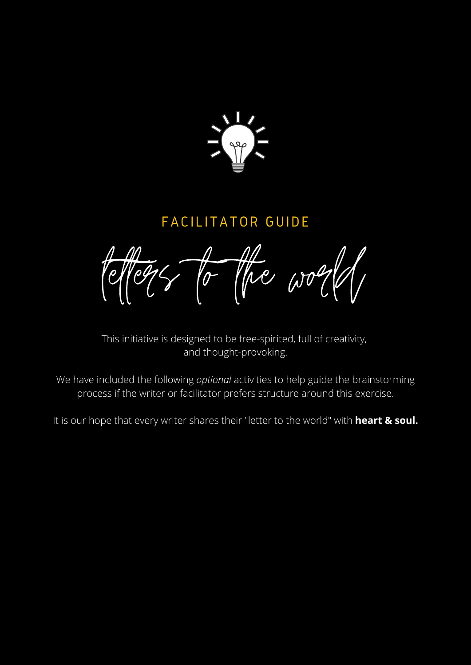

# FACILITATOR GUIDE

let  $\epsilon$  to the world,

This initiative is designed to be free-spirited, full of creativity, and thought-provoking.

We have included the following *optional* activities to help guide the brainstorming process if the writer or facilitator prefers structure around this exercise.

It is our hope that every writer shares their "letter to the world" with **heart & soul.**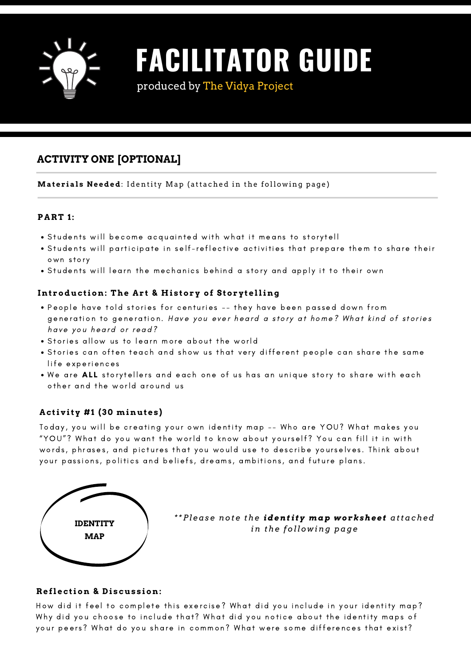#### **P A R T 1:**

- Students will become acquainted with what it means to storytell
- . Students will participate in self-reflective activities that prepare them to share their own story
- Students will learn the mechanics behind a story and apply it to their own

### **I n t roduc tio n : The A r t & Hi s tory of Storyt e lli n g**

- People have told stories for centuries -- they have been passed down from generation to generation. Have you ever heard a story at home? What kind of stories have you heard or read?
- . Stories allow us to learn more about the world
- . Stories can often teach and show us that very different people can share the same

life experiences

. We are ALL storytellers and each one of us has an unique story to share with each other and the world around us



# **FACILITATOR GUIDE**

produced by The Vidya Project

### **ACTIVITY ONE [OPTIONAL]**

**Materials Needed**: Identity Map (attached in the following page)

### **A c tivity # 1 ( 30 mi n ut e s )**

Today, you will be creating your own identity map -- Who are YOU? What makes you "YOU"? What do you want the world to know about yourself? You can fill it in with words, phrases, and pictures that you would use to describe yourselves. Think about your passions, politics and beliefs, dreams, ambitions, and future plans.

#### **R e fl e c tio n & D i s cus s io n :**

How did it feel to complete this exercise? What did you include in your identity map? Why did you choose to include that? What did you notice about the identity maps of your peers? What do you share in common? What were some differences that exist?



*\*\*Pl eas e not e the ident i t y map w o rkshe e t attached in the f oll o w ing page*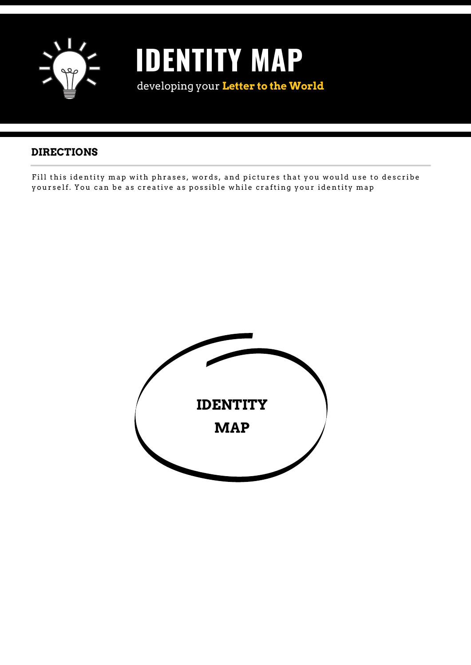

# **IDENTITY MAP** developing your **Letter to the World**

# **DIRECTIONS**

Fill this identity map with phrases, words, and pictures that you would use to describe yourself. You can be as creative as possible while crafting your identity map



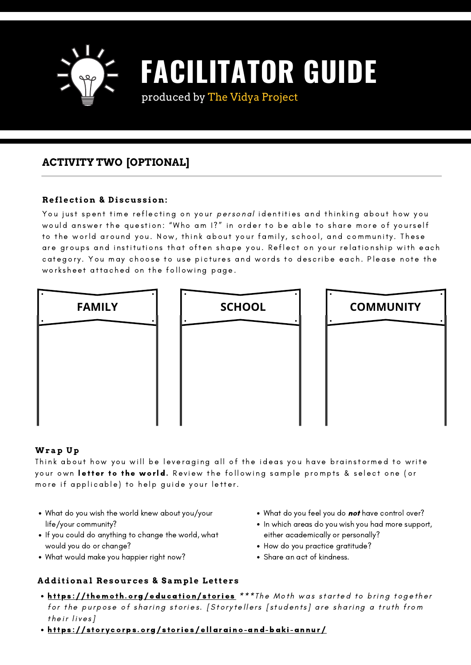### **R e fl e c tio n & D i s cus s io n :**

You just spent time reflecting on your *personal* identities and thinking about how you would answer the question: "Who am 1?" in order to be able to share more of yourself to the world around you. Now, think about your family, school, and community. These are groups and institutions that often shape you. Reflect on your relationship with each category. You may choose to use pictures and words to describe each. Please note the worksheet attached on the following page.

### **Wrap Up**

Think about how you will be leveraging all of the ideas you have brainstormed to write your own letter to the world. Review the following sample prompts & select one (or more if applicable) to help guide your letter.

- What do you feel you do not have control over?
- In which areas do you wish you had more support, either academically or personally?
- How do you practice gratitude?
- Share an act of kindness.

### **A dditio n al R e sour c e s & Sampl e Le tt e r s**

- https://themoth.org/education/stories \*\*\*The Moth was started to bring together for the purpose of sharing stories. [Storytellers [students] are sharing a truth from their lives]
- https://storycorps.org/stories/ellaraino-and-baki-annur/



### **ACTIVITY TWO [OPTIONAL]**



- What do you wish the world knew about you/your life/your community?
- If you could do anything to change the world, what would you do or change?
- What would make you happier right now?